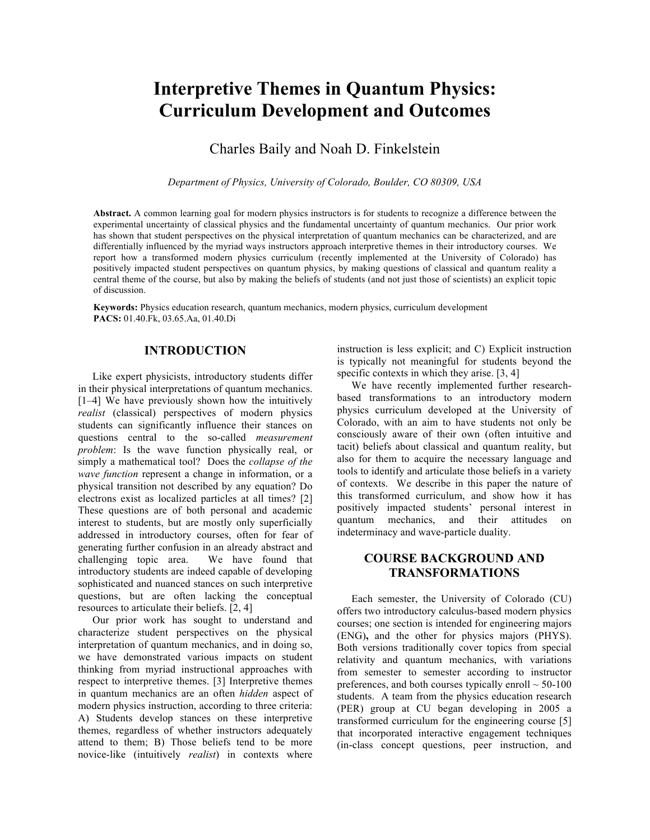# **Interpretive Themes in Quantum Physics: Curriculum Development and Outcomes**

Charles Baily and Noah D. Finkelstein

*Department of Physics, University of Colorado, Boulder, CO 80309, USA*

**Abstract.** A common learning goal for modern physics instructors is for students to recognize a difference between the experimental uncertainty of classical physics and the fundamental uncertainty of quantum mechanics. Our prior work has shown that student perspectives on the physical interpretation of quantum mechanics can be characterized, and are differentially influenced by the myriad ways instructors approach interpretive themes in their introductory courses. We report how a transformed modern physics curriculum (recently implemented at the University of Colorado) has positively impacted student perspectives on quantum physics, by making questions of classical and quantum reality a central theme of the course, but also by making the beliefs of students (and not just those of scientists) an explicit topic of discussion.

**Keywords:** Physics education research, quantum mechanics, modern physics, curriculum development **PACS:** 01.40.Fk, 03.65.Aa, 01.40.Di

### **INTRODUCTION**

Like expert physicists, introductory students differ in their physical interpretations of quantum mechanics. [1–4] We have previously shown how the intuitively *realist* (classical) perspectives of modern physics students can significantly influence their stances on questions central to the so-called *measurement problem*: Is the wave function physically real, or simply a mathematical tool? Does the *collapse of the wave function* represent a change in information, or a physical transition not described by any equation? Do electrons exist as localized particles at all times? [2] These questions are of both personal and academic interest to students, but are mostly only superficially addressed in introductory courses, often for fear of generating further confusion in an already abstract and challenging topic area. We have found that introductory students are indeed capable of developing sophisticated and nuanced stances on such interpretive questions, but are often lacking the conceptual resources to articulate their beliefs. [2, 4]

Our prior work has sought to understand and characterize student perspectives on the physical interpretation of quantum mechanics, and in doing so, we have demonstrated various impacts on student thinking from myriad instructional approaches with respect to interpretive themes. [3] Interpretive themes in quantum mechanics are an often *hidden* aspect of modern physics instruction, according to three criteria: A) Students develop stances on these interpretive themes, regardless of whether instructors adequately attend to them; B) Those beliefs tend to be more novice-like (intuitively *realist*) in contexts where

instruction is less explicit; and C) Explicit instruction is typically not meaningful for students beyond the specific contexts in which they arise. [3, 4]

We have recently implemented further researchbased transformations to an introductory modern physics curriculum developed at the University of Colorado, with an aim to have students not only be consciously aware of their own (often intuitive and tacit) beliefs about classical and quantum reality, but also for them to acquire the necessary language and tools to identify and articulate those beliefs in a variety of contexts. We describe in this paper the nature of this transformed curriculum, and show how it has positively impacted students' personal interest in quantum mechanics, and their attitudes on indeterminacy and wave-particle duality.

## **COURSE BACKGROUND AND TRANSFORMATIONS**

Each semester, the University of Colorado (CU) offers two introductory calculus-based modern physics courses; one section is intended for engineering majors (ENG)**,** and the other for physics majors (PHYS). Both versions traditionally cover topics from special relativity and quantum mechanics, with variations from semester to semester according to instructor preferences, and both courses typically enroll  $\sim$  50-100 students. A team from the physics education research (PER) group at CU began developing in 2005 a transformed curriculum for the engineering course [5] that incorporated interactive engagement techniques (in-class concept questions, peer instruction, and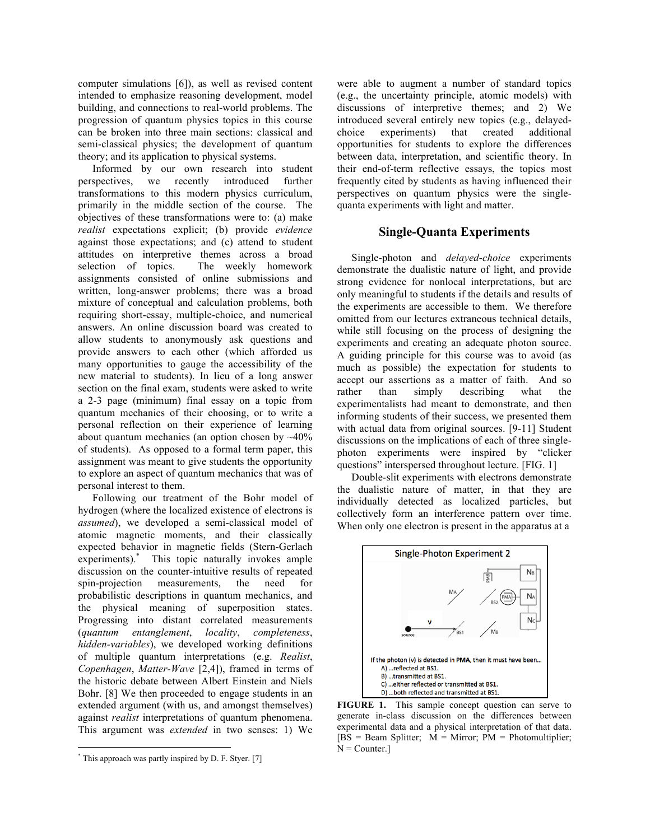computer simulations [6]), as well as revised content intended to emphasize reasoning development, model building, and connections to real-world problems. The progression of quantum physics topics in this course can be broken into three main sections: classical and semi-classical physics; the development of quantum theory; and its application to physical systems.

Informed by our own research into student perspectives, we recently introduced further transformations to this modern physics curriculum, primarily in the middle section of the course. The objectives of these transformations were to: (a) make *realist* expectations explicit; (b) provide *evidence* against those expectations; and (c) attend to student attitudes on interpretive themes across a broad selection of topics. The weekly homework assignments consisted of online submissions and written, long-answer problems; there was a broad mixture of conceptual and calculation problems, both requiring short-essay, multiple-choice, and numerical answers. An online discussion board was created to allow students to anonymously ask questions and provide answers to each other (which afforded us many opportunities to gauge the accessibility of the new material to students). In lieu of a long answer section on the final exam, students were asked to write a 2-3 page (minimum) final essay on a topic from quantum mechanics of their choosing, or to write a personal reflection on their experience of learning about quantum mechanics (an option chosen by  $~40\%$ of students). As opposed to a formal term paper, this assignment was meant to give students the opportunity to explore an aspect of quantum mechanics that was of personal interest to them.

Following our treatment of the Bohr model of hydrogen (where the localized existence of electrons is *assumed*), we developed a semi-classical model of atomic magnetic moments, and their classically expected behavior in magnetic fields (Stern-Gerlach experiments).<sup>\*</sup> This topic naturally invokes ample discussion on the counter-intuitive results of repeated spin-projection measurements, the need for probabilistic descriptions in quantum mechanics, and the physical meaning of superposition states. Progressing into distant correlated measurements (*quantum entanglement*, *locality*, *completeness*, *hidden-variables*), we developed working definitions of multiple quantum interpretations (e.g. *Realist*, *Copenhagen*, *Matter-Wave* [2,4]), framed in terms of the historic debate between Albert Einstein and Niels Bohr. [8] We then proceeded to engage students in an extended argument (with us, and amongst themselves) against *realist* interpretations of quantum phenomena. This argument was *extended* in two senses: 1) We

were able to augment a number of standard topics (e.g., the uncertainty principle, atomic models) with discussions of interpretive themes; and 2) We introduced several entirely new topics (e.g., delayedchoice experiments) that created additional opportunities for students to explore the differences between data, interpretation, and scientific theory. In their end-of-term reflective essays, the topics most frequently cited by students as having influenced their perspectives on quantum physics were the singlequanta experiments with light and matter.

#### **Single-Quanta Experiments**

Single-photon and *delayed*-*choice* experiments demonstrate the dualistic nature of light, and provide strong evidence for nonlocal interpretations, but are only meaningful to students if the details and results of the experiments are accessible to them. We therefore omitted from our lectures extraneous technical details, while still focusing on the process of designing the experiments and creating an adequate photon source. A guiding principle for this course was to avoid (as much as possible) the expectation for students to accept our assertions as a matter of faith. And so rather than simply describing what the experimentalists had meant to demonstrate, and then informing students of their success, we presented them with actual data from original sources. [9-11] Student discussions on the implications of each of three singlephoton experiments were inspired by "clicker questions" interspersed throughout lecture. [FIG. 1]

Double-slit experiments with electrons demonstrate the dualistic nature of matter, in that they are individually detected as localized particles, but collectively form an interference pattern over time. When only one electron is present in the apparatus at a



**FIGURE 1.** This sample concept question can serve to generate in-class discussion on the differences between experimental data and a physical interpretation of that data.  $[BS = Beam Splitter; M = Mirror; PM = Photomultiplier;$  $N =$  Counter.

 <sup>\*</sup> This approach was partly inspired by D. F. Styer. [7]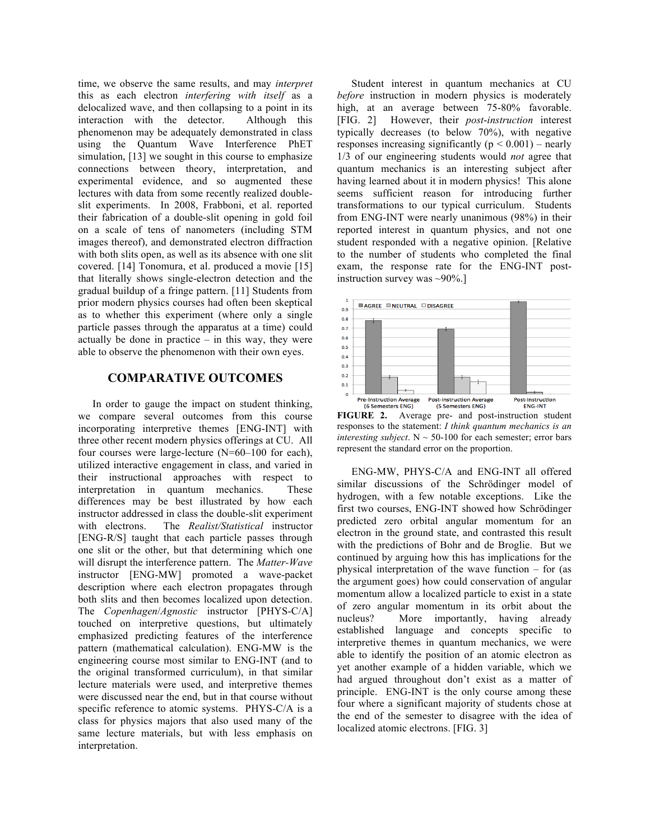time, we observe the same results, and may *interpret* this as each electron *interfering with itself* as a delocalized wave, and then collapsing to a point in its interaction with the detector. Although this phenomenon may be adequately demonstrated in class using the Quantum Wave Interference PhET simulation, [13] we sought in this course to emphasize connections between theory, interpretation, and experimental evidence, and so augmented these lectures with data from some recently realized doubleslit experiments. In 2008, Frabboni, et al. reported their fabrication of a double-slit opening in gold foil on a scale of tens of nanometers (including STM images thereof), and demonstrated electron diffraction with both slits open, as well as its absence with one slit covered. [14] Tonomura, et al. produced a movie [15] that literally shows single-electron detection and the gradual buildup of a fringe pattern. [11] Students from prior modern physics courses had often been skeptical as to whether this experiment (where only a single particle passes through the apparatus at a time) could actually be done in practice  $-$  in this way, they were able to observe the phenomenon with their own eyes.

#### **COMPARATIVE OUTCOMES**

In order to gauge the impact on student thinking, we compare several outcomes from this course incorporating interpretive themes [ENG-INT] with three other recent modern physics offerings at CU. All four courses were large-lecture (N=60–100 for each), utilized interactive engagement in class, and varied in their instructional approaches with respect to interpretation in quantum mechanics. These differences may be best illustrated by how each instructor addressed in class the double-slit experiment with electrons. The *Realist/Statistical* instructor [ENG-R/S] taught that each particle passes through one slit or the other, but that determining which one will disrupt the interference pattern. The *Matter-Wave* instructor [ENG-MW] promoted a wave-packet description where each electron propagates through both slits and then becomes localized upon detection. The *Copenhagen*/*Agnostic* instructor [PHYS-C/A] touched on interpretive questions, but ultimately emphasized predicting features of the interference pattern (mathematical calculation). ENG-MW is the engineering course most similar to ENG-INT (and to the original transformed curriculum), in that similar lecture materials were used, and interpretive themes were discussed near the end, but in that course without specific reference to atomic systems. PHYS-C/A is a class for physics majors that also used many of the same lecture materials, but with less emphasis on interpretation.

Student interest in quantum mechanics at CU *before* instruction in modern physics is moderately high, at an average between 75-80% favorable. [FIG. 2] However, their *post*-*instruction* interest typically decreases (to below 70%), with negative responses increasing significantly  $(p < 0.001)$  – nearly 1/3 of our engineering students would *not* agree that quantum mechanics is an interesting subject after having learned about it in modern physics! This alone seems sufficient reason for introducing further transformations to our typical curriculum. Students from ENG-INT were nearly unanimous (98%) in their reported interest in quantum physics, and not one student responded with a negative opinion. [Relative to the number of students who completed the final exam, the response rate for the ENG-INT postinstruction survey was ~90%.]



**FIGURE 2.** Average pre- and post-instruction student responses to the statement: *I think quantum mechanics is an interesting subject*.  $N \sim 50{\text -}100$  for each semester; error bars represent the standard error on the proportion.

ENG-MW, PHYS-C/A and ENG-INT all offered similar discussions of the Schrödinger model of hydrogen, with a few notable exceptions. Like the first two courses, ENG-INT showed how Schrödinger predicted zero orbital angular momentum for an electron in the ground state, and contrasted this result with the predictions of Bohr and de Broglie. But we continued by arguing how this has implications for the physical interpretation of the wave function – for (as the argument goes) how could conservation of angular momentum allow a localized particle to exist in a state of zero angular momentum in its orbit about the nucleus? More importantly, having already established language and concepts specific to interpretive themes in quantum mechanics, we were able to identify the position of an atomic electron as yet another example of a hidden variable, which we had argued throughout don't exist as a matter of principle. ENG-INT is the only course among these four where a significant majority of students chose at the end of the semester to disagree with the idea of localized atomic electrons. [FIG. 3]